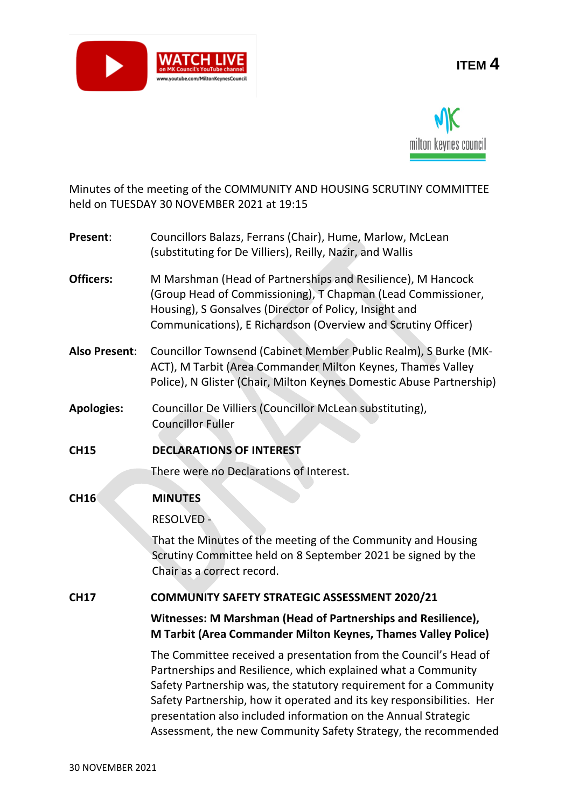

# **ITEM 4**



Minutes of the meeting of the COMMUNITY AND HOUSING SCRUTINY COMMITTEE held on TUESDAY 30 NOVEMBER 2021 at 19:15

| Present: | Councillors Balazs, Ferrans (Chair), Hume, Marlow, McLean |
|----------|-----------------------------------------------------------|
|          | (substituting for De Villiers), Reilly, Nazir, and Wallis |

- **Officers:** M Marshman (Head of Partnerships and Resilience), M Hancock (Group Head of Commissioning), T Chapman (Lead Commissioner, Housing), S Gonsalves (Director of Policy, Insight and Communications), E Richardson (Overview and Scrutiny Officer)
- **Also Present**: Councillor Townsend (Cabinet Member Public Realm), S Burke (MK-ACT), M Tarbit (Area Commander Milton Keynes, Thames Valley Police), N Glister (Chair, Milton Keynes Domestic Abuse Partnership)
- **Apologies:** Councillor De Villiers (Councillor McLean substituting), Councillor Fuller
- **CH15 DECLARATIONS OF INTEREST**

There were no Declarations of Interest.

## **CH16 MINUTES**

RESOLVED -

That the Minutes of the meeting of the Community and Housing Scrutiny Committee held on 8 September 2021 be signed by the Chair as a correct record.

## **CH17 COMMUNITY SAFETY STRATEGIC ASSESSMENT 2020/21**

**Witnesses: M Marshman (Head of Partnerships and Resilience), M Tarbit (Area Commander Milton Keynes, Thames Valley Police)**

The Committee received a presentation from the Council's Head of Partnerships and Resilience, which explained what a Community Safety Partnership was, the statutory requirement for a Community Safety Partnership, how it operated and its key responsibilities. Her presentation also included information on the Annual Strategic Assessment, the new Community Safety Strategy, the recommended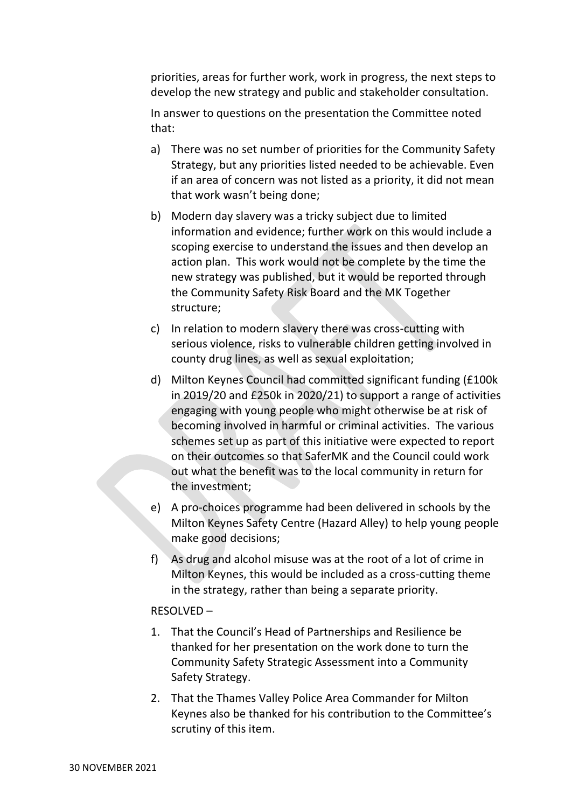priorities, areas for further work, work in progress, the next steps to develop the new strategy and public and stakeholder consultation.

In answer to questions on the presentation the Committee noted that:

- a) There was no set number of priorities for the Community Safety Strategy, but any priorities listed needed to be achievable. Even if an area of concern was not listed as a priority, it did not mean that work wasn't being done;
- b) Modern day slavery was a tricky subject due to limited information and evidence; further work on this would include a scoping exercise to understand the issues and then develop an action plan. This work would not be complete by the time the new strategy was published, but it would be reported through the Community Safety Risk Board and the MK Together structure;
- c) In relation to modern slavery there was cross-cutting with serious violence, risks to vulnerable children getting involved in county drug lines, as well as sexual exploitation;
- d) Milton Keynes Council had committed significant funding (£100k in 2019/20 and £250k in 2020/21) to support a range of activities engaging with young people who might otherwise be at risk of becoming involved in harmful or criminal activities. The various schemes set up as part of this initiative were expected to report on their outcomes so that SaferMK and the Council could work out what the benefit was to the local community in return for the investment;
- e) A pro-choices programme had been delivered in schools by the Milton Keynes Safety Centre (Hazard Alley) to help young people make good decisions;
- f) As drug and alcohol misuse was at the root of a lot of crime in Milton Keynes, this would be included as a cross-cutting theme in the strategy, rather than being a separate priority.

#### RESOLVED –

- 1. That the Council's Head of Partnerships and Resilience be thanked for her presentation on the work done to turn the Community Safety Strategic Assessment into a Community Safety Strategy.
- 2. That the Thames Valley Police Area Commander for Milton Keynes also be thanked for his contribution to the Committee's scrutiny of this item.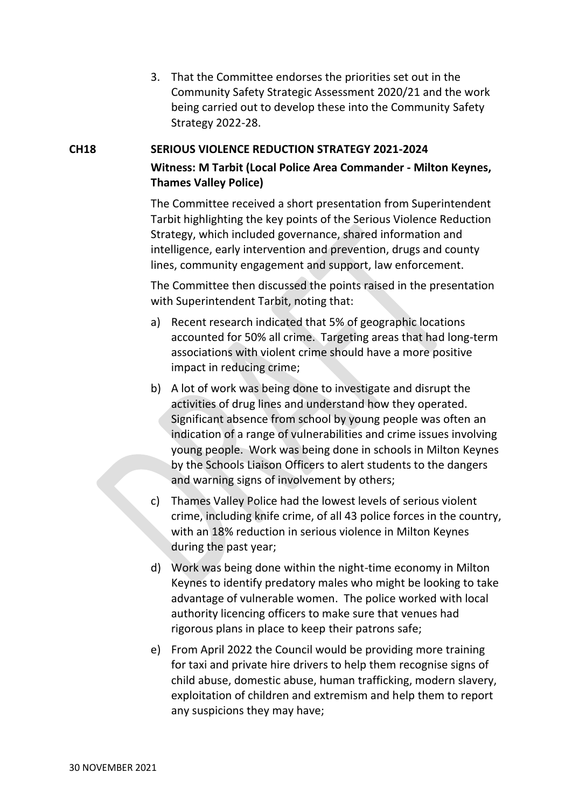3. That the Committee endorses the priorities set out in the Community Safety Strategic Assessment 2020/21 and the work being carried out to develop these into the Community Safety Strategy 2022-28.

## **CH18 SERIOUS VIOLENCE REDUCTION STRATEGY 2021-2024 Witness: M Tarbit (Local Police Area Commander - Milton Keynes, Thames Valley Police)**

The Committee received a short presentation from Superintendent Tarbit highlighting the key points of the Serious Violence Reduction Strategy, which included governance, shared information and intelligence, early intervention and prevention, drugs and county lines, community engagement and support, law enforcement.

The Committee then discussed the points raised in the presentation with Superintendent Tarbit, noting that:

- a) Recent research indicated that 5% of geographic locations accounted for 50% all crime. Targeting areas that had long-term associations with violent crime should have a more positive impact in reducing crime;
- b) A lot of work was being done to investigate and disrupt the activities of drug lines and understand how they operated. Significant absence from school by young people was often an indication of a range of vulnerabilities and crime issues involving young people. Work was being done in schools in Milton Keynes by the Schools Liaison Officers to alert students to the dangers and warning signs of involvement by others;
- c) Thames Valley Police had the lowest levels of serious violent crime, including knife crime, of all 43 police forces in the country, with an 18% reduction in serious violence in Milton Keynes during the past year;
- d) Work was being done within the night-time economy in Milton Keynes to identify predatory males who might be looking to take advantage of vulnerable women. The police worked with local authority licencing officers to make sure that venues had rigorous plans in place to keep their patrons safe;
- e) From April 2022 the Council would be providing more training for taxi and private hire drivers to help them recognise signs of child abuse, domestic abuse, human trafficking, modern slavery, exploitation of children and extremism and help them to report any suspicions they may have;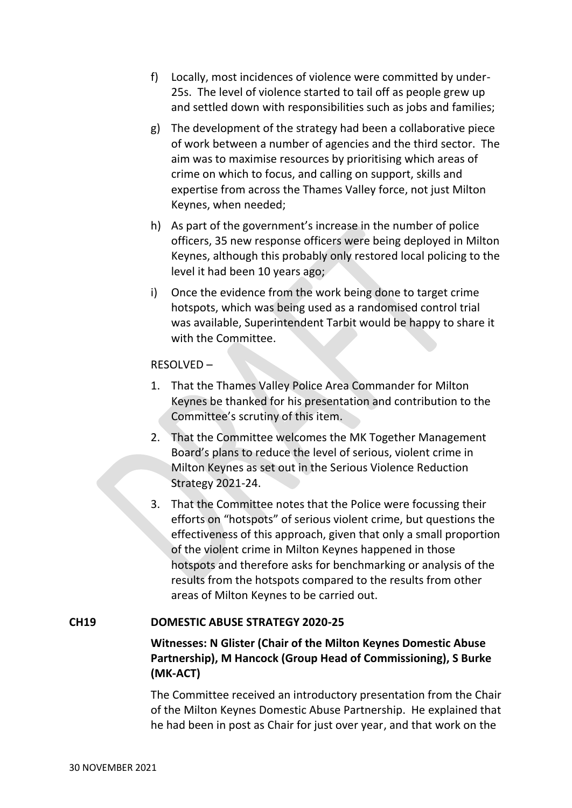- f) Locally, most incidences of violence were committed by under-25s. The level of violence started to tail off as people grew up and settled down with responsibilities such as jobs and families;
- g) The development of the strategy had been a collaborative piece of work between a number of agencies and the third sector. The aim was to maximise resources by prioritising which areas of crime on which to focus, and calling on support, skills and expertise from across the Thames Valley force, not just Milton Keynes, when needed;
- h) As part of the government's increase in the number of police officers, 35 new response officers were being deployed in Milton Keynes, although this probably only restored local policing to the level it had been 10 years ago;
- i) Once the evidence from the work being done to target crime hotspots, which was being used as a randomised control trial was available, Superintendent Tarbit would be happy to share it with the Committee.

#### RESOLVED –

- 1. That the Thames Valley Police Area Commander for Milton Keynes be thanked for his presentation and contribution to the Committee's scrutiny of this item.
- 2. That the Committee welcomes the MK Together Management Board's plans to reduce the level of serious, violent crime in Milton Keynes as set out in the Serious Violence Reduction Strategy 2021-24.
- 3. That the Committee notes that the Police were focussing their efforts on "hotspots" of serious violent crime, but questions the effectiveness of this approach, given that only a small proportion of the violent crime in Milton Keynes happened in those hotspots and therefore asks for benchmarking or analysis of the results from the hotspots compared to the results from other areas of Milton Keynes to be carried out.

#### **CH19 DOMESTIC ABUSE STRATEGY 2020-25**

## **Witnesses: N Glister (Chair of the Milton Keynes Domestic Abuse Partnership), M Hancock (Group Head of Commissioning), S Burke (MK-ACT)**

The Committee received an introductory presentation from the Chair of the Milton Keynes Domestic Abuse Partnership. He explained that he had been in post as Chair for just over year, and that work on the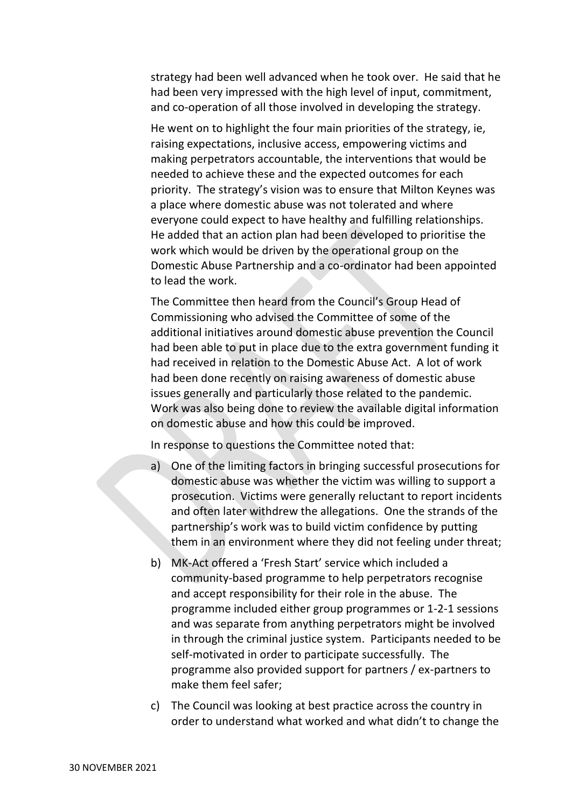strategy had been well advanced when he took over. He said that he had been very impressed with the high level of input, commitment, and co-operation of all those involved in developing the strategy.

He went on to highlight the four main priorities of the strategy, ie, raising expectations, inclusive access, empowering victims and making perpetrators accountable, the interventions that would be needed to achieve these and the expected outcomes for each priority. The strategy's vision was to ensure that Milton Keynes was a place where domestic abuse was not tolerated and where everyone could expect to have healthy and fulfilling relationships. He added that an action plan had been developed to prioritise the work which would be driven by the operational group on the Domestic Abuse Partnership and a co-ordinator had been appointed to lead the work.

The Committee then heard from the Council's Group Head of Commissioning who advised the Committee of some of the additional initiatives around domestic abuse prevention the Council had been able to put in place due to the extra government funding it had received in relation to the Domestic Abuse Act. A lot of work had been done recently on raising awareness of domestic abuse issues generally and particularly those related to the pandemic. Work was also being done to review the available digital information on domestic abuse and how this could be improved.

In response to questions the Committee noted that:

- a) One of the limiting factors in bringing successful prosecutions for domestic abuse was whether the victim was willing to support a prosecution. Victims were generally reluctant to report incidents and often later withdrew the allegations. One the strands of the partnership's work was to build victim confidence by putting them in an environment where they did not feeling under threat;
- b) MK-Act offered a 'Fresh Start' service which included a community-based programme to help perpetrators recognise and accept responsibility for their role in the abuse. The programme included either group programmes or 1-2-1 sessions and was separate from anything perpetrators might be involved in through the criminal justice system. Participants needed to be self-motivated in order to participate successfully. The programme also provided support for partners / ex-partners to make them feel safer;
- c) The Council was looking at best practice across the country in order to understand what worked and what didn't to change the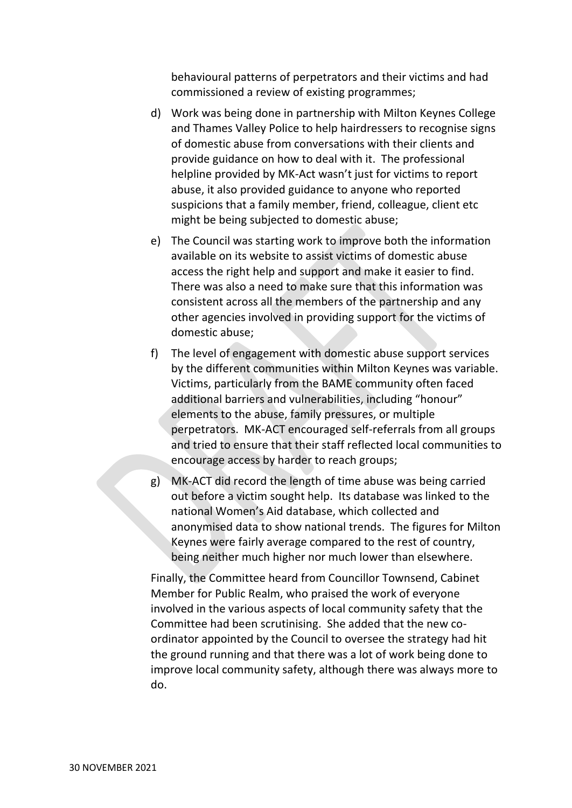behavioural patterns of perpetrators and their victims and had commissioned a review of existing programmes;

- d) Work was being done in partnership with Milton Keynes College and Thames Valley Police to help hairdressers to recognise signs of domestic abuse from conversations with their clients and provide guidance on how to deal with it. The professional helpline provided by MK-Act wasn't just for victims to report abuse, it also provided guidance to anyone who reported suspicions that a family member, friend, colleague, client etc might be being subjected to domestic abuse;
- e) The Council was starting work to improve both the information available on its website to assist victims of domestic abuse access the right help and support and make it easier to find. There was also a need to make sure that this information was consistent across all the members of the partnership and any other agencies involved in providing support for the victims of domestic abuse;
- f) The level of engagement with domestic abuse support services by the different communities within Milton Keynes was variable. Victims, particularly from the BAME community often faced additional barriers and vulnerabilities, including "honour" elements to the abuse, family pressures, or multiple perpetrators. MK-ACT encouraged self-referrals from all groups and tried to ensure that their staff reflected local communities to encourage access by harder to reach groups;
- g) MK-ACT did record the length of time abuse was being carried out before a victim sought help. Its database was linked to the national Women's Aid database, which collected and anonymised data to show national trends. The figures for Milton Keynes were fairly average compared to the rest of country, being neither much higher nor much lower than elsewhere.

Finally, the Committee heard from Councillor Townsend, Cabinet Member for Public Realm, who praised the work of everyone involved in the various aspects of local community safety that the Committee had been scrutinising. She added that the new coordinator appointed by the Council to oversee the strategy had hit the ground running and that there was a lot of work being done to improve local community safety, although there was always more to do.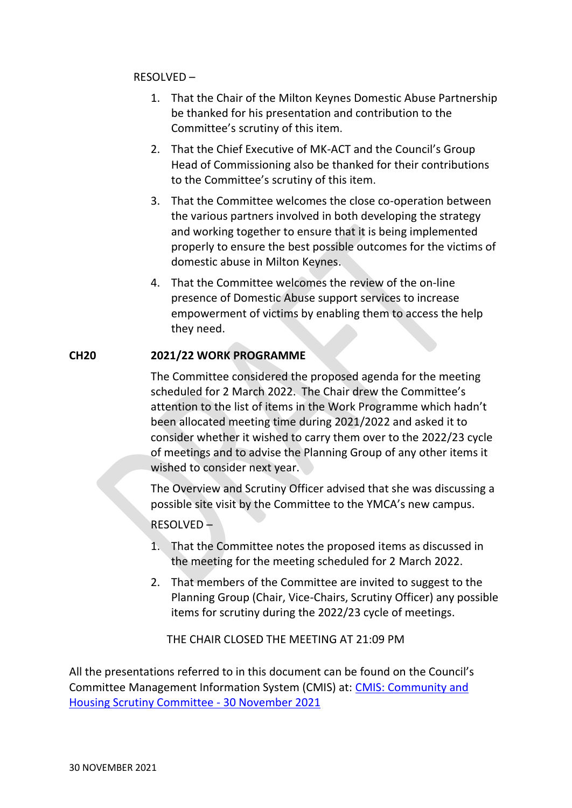### RESOLVED –

- 1. That the Chair of the Milton Keynes Domestic Abuse Partnership be thanked for his presentation and contribution to the Committee's scrutiny of this item.
- 2. That the Chief Executive of MK-ACT and the Council's Group Head of Commissioning also be thanked for their contributions to the Committee's scrutiny of this item.
- 3. That the Committee welcomes the close co-operation between the various partners involved in both developing the strategy and working together to ensure that it is being implemented properly to ensure the best possible outcomes for the victims of domestic abuse in Milton Keynes.
- 4. That the Committee welcomes the review of the on-line presence of Domestic Abuse support services to increase empowerment of victims by enabling them to access the help they need.

## **CH20 2021/22 WORK PROGRAMME**

The Committee considered the proposed agenda for the meeting scheduled for 2 March 2022. The Chair drew the Committee's attention to the list of items in the Work Programme which hadn't been allocated meeting time during 2021/2022 and asked it to consider whether it wished to carry them over to the 2022/23 cycle of meetings and to advise the Planning Group of any other items it wished to consider next year.

The Overview and Scrutiny Officer advised that she was discussing a possible site visit by the Committee to the YMCA's new campus.

## RESOLVED –

- 1. That the Committee notes the proposed items as discussed in the meeting for the meeting scheduled for 2 March 2022.
- 2. That members of the Committee are invited to suggest to the Planning Group (Chair, Vice-Chairs, Scrutiny Officer) any possible items for scrutiny during the 2022/23 cycle of meetings.

THE CHAIR CLOSED THE MEETING AT 21:09 PM

All the presentations referred to in this document can be found on the Council's Committee Management Information System (CMIS) at: [CMIS: Community and](https://milton-keynes.cmis.uk.com/milton-keynes/Calendar/tabid/70/ctl/ViewMeetingPublic/mid/397/Meeting/6858/Committee/1402/Default.aspx)  [Housing Scrutiny Committee -](https://milton-keynes.cmis.uk.com/milton-keynes/Calendar/tabid/70/ctl/ViewMeetingPublic/mid/397/Meeting/6858/Committee/1402/Default.aspx) 30 November 2021